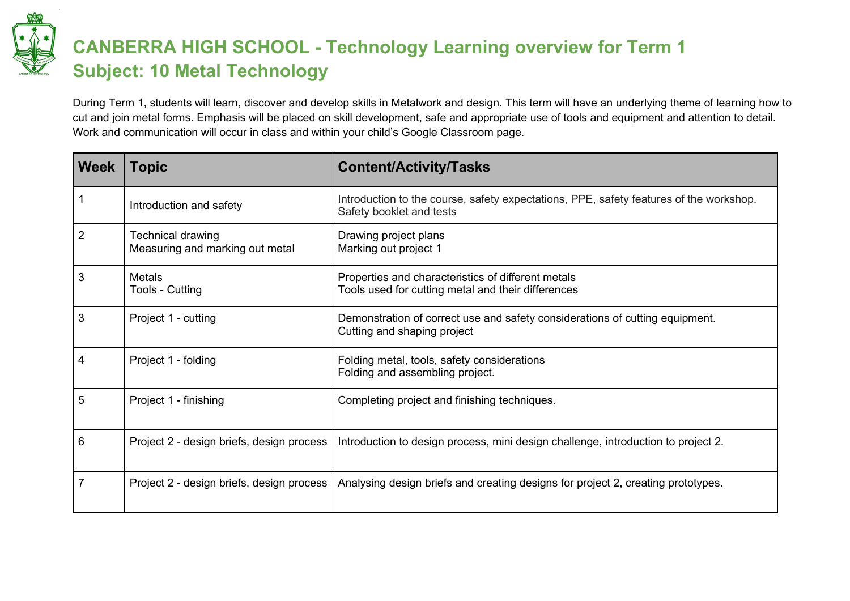

## **CANBERRA HIGH SCHOOL - Technology Learning overview for Term 1 Subject: 10 Metal Technology**

During Term 1, students will learn, discover and develop skills in Metalwork and design. This term will have an underlying theme of learning how to cut and join metal forms. Emphasis will be placed on skill development, safe and appropriate use of tools and equipment and attention to detail. Work and communication will occur in class and within your child's Google Classroom page.

| <b>Week</b>    | <b>Topic</b>                                         | <b>Content/Activity/Tasks</b>                                                                                      |
|----------------|------------------------------------------------------|--------------------------------------------------------------------------------------------------------------------|
| 1              | Introduction and safety                              | Introduction to the course, safety expectations, PPE, safety features of the workshop.<br>Safety booklet and tests |
| $\overline{2}$ | Technical drawing<br>Measuring and marking out metal | Drawing project plans<br>Marking out project 1                                                                     |
| 3              | <b>Metals</b><br>Tools - Cutting                     | Properties and characteristics of different metals<br>Tools used for cutting metal and their differences           |
| 3              | Project 1 - cutting                                  | Demonstration of correct use and safety considerations of cutting equipment.<br>Cutting and shaping project        |
| 4              | Project 1 - folding                                  | Folding metal, tools, safety considerations<br>Folding and assembling project.                                     |
| 5              | Project 1 - finishing                                | Completing project and finishing techniques.                                                                       |
| 6              | Project 2 - design briefs, design process            | Introduction to design process, mini design challenge, introduction to project 2.                                  |
| $\overline{7}$ | Project 2 - design briefs, design process            | Analysing design briefs and creating designs for project 2, creating prototypes.                                   |